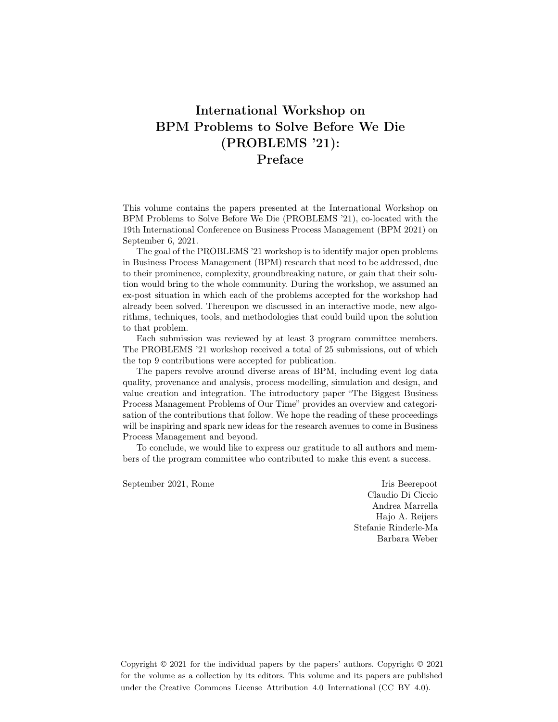### International Workshop on BPM Problems to Solve Before We Die (PROBLEMS '21): Preface

This volume contains the papers presented at the International Workshop on BPM Problems to Solve Before We Die (PROBLEMS '21), co-located with the 19th International Conference on Business Process Management (BPM 2021) on September 6, 2021.

The goal of the PROBLEMS '21 workshop is to identify major open problems in Business Process Management (BPM) research that need to be addressed, due to their prominence, complexity, groundbreaking nature, or gain that their solution would bring to the whole community. During the workshop, we assumed an ex-post situation in which each of the problems accepted for the workshop had already been solved. Thereupon we discussed in an interactive mode, new algorithms, techniques, tools, and methodologies that could build upon the solution to that problem.

Each submission was reviewed by at least 3 program committee members. The PROBLEMS '21 workshop received a total of 25 submissions, out of which the top 9 contributions were accepted for publication.

The papers revolve around diverse areas of BPM, including event log data quality, provenance and analysis, process modelling, simulation and design, and value creation and integration. The introductory paper "The Biggest Business Process Management Problems of Our Time" provides an overview and categorisation of the contributions that follow. We hope the reading of these proceedings will be inspiring and spark new ideas for the research avenues to come in Business Process Management and beyond.

To conclude, we would like to express our gratitude to all authors and members of the program committee who contributed to make this event a success.

September 2021, Rome Iris Beerepoot

Claudio Di Ciccio Andrea Marrella Hajo A. Reijers Stefanie Rinderle-Ma Barbara Weber

Copyright  $\odot$  2021 for the individual papers by the papers' authors. Copyright  $\odot$  2021 for the volume as a collection by its editors. This volume and its papers are published under the Creative Commons License Attribution 4.0 International (CC BY 4.0).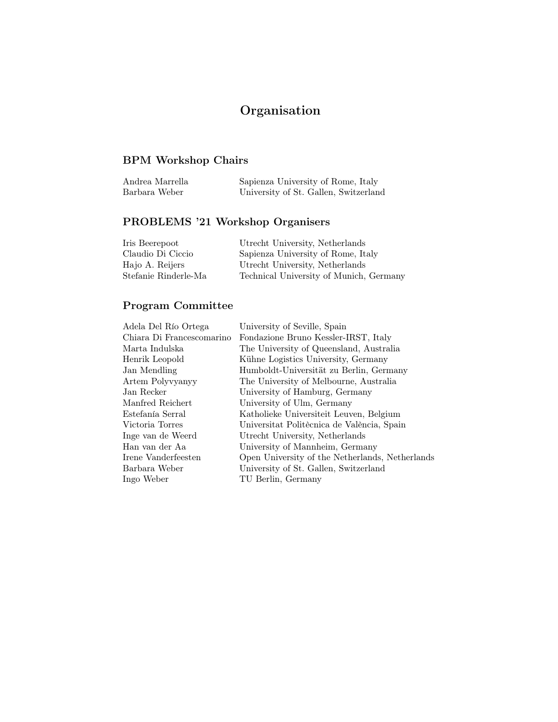# Organisation

### BPM Workshop Chairs

| Andrea Marrella | Sapienza University of Rome, Italy    |
|-----------------|---------------------------------------|
| Barbara Weber   | University of St. Gallen, Switzerland |

## PROBLEMS '21 Workshop Organisers

| Iris Beerepoot       | Utrecht University, Netherlands         |
|----------------------|-----------------------------------------|
| Claudio Di Ciccio    | Sapienza University of Rome, Italy      |
| Hajo A. Reijers      | Utrecht University, Netherlands         |
| Stefanie Rinderle-Ma | Technical University of Munich, Germany |

#### Program Committee

| Adela Del Río Ortega      | University of Seville, Spain                    |
|---------------------------|-------------------------------------------------|
| Chiara Di Francescomarino | Fondazione Bruno Kessler-IRST, Italy            |
| Marta Indulska            | The University of Queensland, Australia         |
| Henrik Leopold            | Kühne Logistics University, Germany             |
| Jan Mendling              | Humboldt-Universität zu Berlin, Germany         |
| Artem Polyvyanyy          | The University of Melbourne, Australia          |
| Jan Recker                | University of Hamburg, Germany                  |
| Manfred Reichert          | University of Ulm, Germany                      |
| Estefanía Serral          | Katholieke Universiteit Leuven, Belgium         |
| Victoria Torres           | Universitat Politècnica de València, Spain      |
| Inge van de Weerd         | Utrecht University, Netherlands                 |
| Han van der Aa            | University of Mannheim, Germany                 |
| Irene Vanderfeesten       | Open University of the Netherlands, Netherlands |
| Barbara Weber             | University of St. Gallen, Switzerland           |
| Ingo Weber                | TU Berlin, Germany                              |
|                           |                                                 |